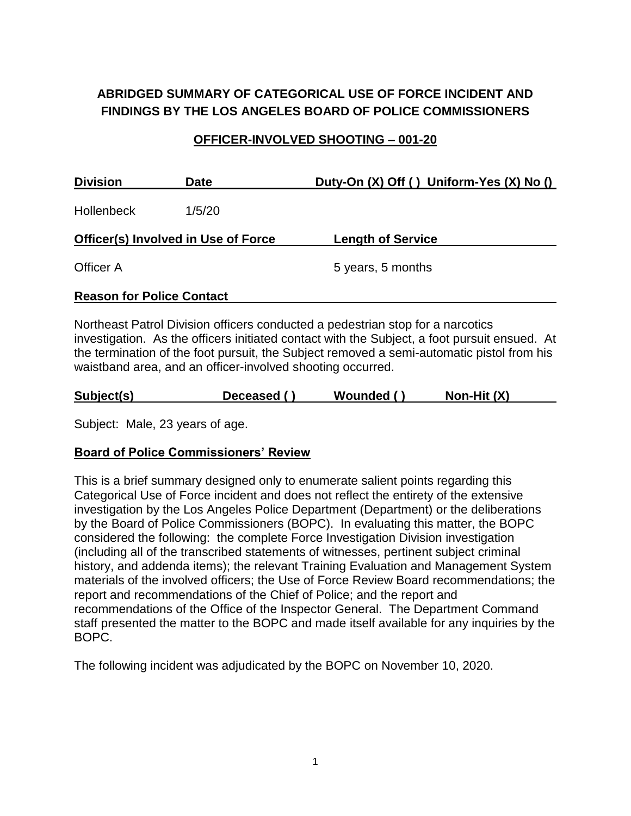# **ABRIDGED SUMMARY OF CATEGORICAL USE OF FORCE INCIDENT AND FINDINGS BY THE LOS ANGELES BOARD OF POLICE COMMISSIONERS**

#### **OFFICER-INVOLVED SHOOTING – 001-20**

| <b>Division</b><br><b>Date</b>             |        | Duty-On (X) Off () Uniform-Yes (X) No () |  |  |
|--------------------------------------------|--------|------------------------------------------|--|--|
| <b>Hollenbeck</b>                          | 1/5/20 |                                          |  |  |
| <b>Officer(s) Involved in Use of Force</b> |        | <b>Length of Service</b>                 |  |  |
| Officer A                                  |        | 5 years, 5 months                        |  |  |
| <b>Reason for Police Contact</b>           |        |                                          |  |  |

Northeast Patrol Division officers conducted a pedestrian stop for a narcotics investigation. As the officers initiated contact with the Subject, a foot pursuit ensued. At the termination of the foot pursuit, the Subject removed a semi-automatic pistol from his waistband area, and an officer-involved shooting occurred.

| Subject(s) | Deceased () |  | Wounded () |  | Non-Hit $(X)$ |
|------------|-------------|--|------------|--|---------------|
|------------|-------------|--|------------|--|---------------|

Subject: Male, 23 years of age.

#### **Board of Police Commissioners' Review**

This is a brief summary designed only to enumerate salient points regarding this Categorical Use of Force incident and does not reflect the entirety of the extensive investigation by the Los Angeles Police Department (Department) or the deliberations by the Board of Police Commissioners (BOPC). In evaluating this matter, the BOPC considered the following: the complete Force Investigation Division investigation (including all of the transcribed statements of witnesses, pertinent subject criminal history, and addenda items); the relevant Training Evaluation and Management System materials of the involved officers; the Use of Force Review Board recommendations; the report and recommendations of the Chief of Police; and the report and recommendations of the Office of the Inspector General. The Department Command staff presented the matter to the BOPC and made itself available for any inquiries by the BOPC.

The following incident was adjudicated by the BOPC on November 10, 2020.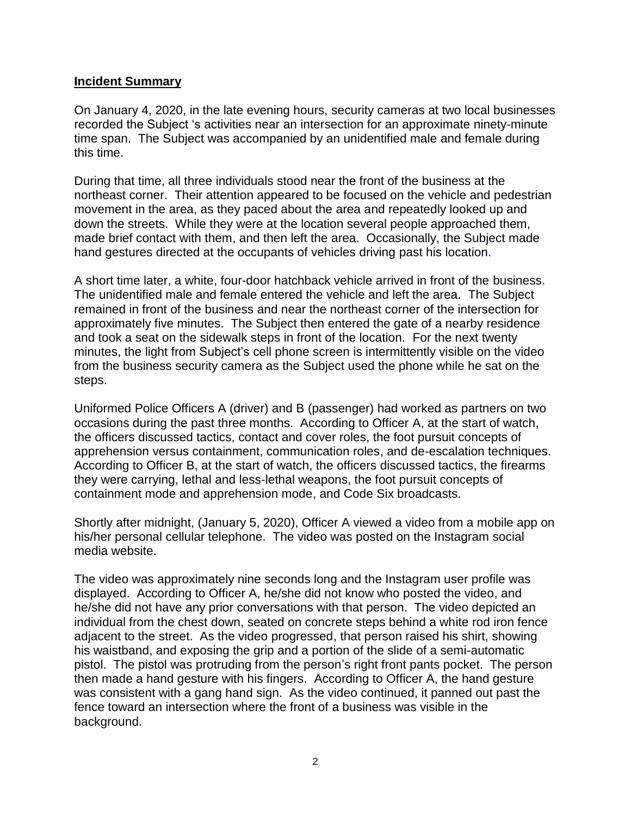#### **Incident Summary**

On January 4, 2020, in the late evening hours, security cameras at two local businesses recorded the Subject 's activities near an intersection for an approximate ninety-minute time span. The Subject was accompanied by an unidentified male and female during this time.

During that time, all three individuals stood near the front of the business at the northeast corner. Their attention appeared to be focused on the vehicle and pedestrian movement in the area, as they paced about the area and repeatedly looked up and down the streets. While they were at the location several people approached them, made brief contact with them, and then left the area. Occasionally, the Subject made hand gestures directed at the occupants of vehicles driving past his location.

A short time later, a white, four-door hatchback vehicle arrived in front of the business. The unidentified male and female entered the vehicle and left the area. The Subject remained in front of the business and near the northeast corner of the intersection for approximately five minutes. The Subject then entered the gate of a nearby residence and took a seat on the sidewalk steps in front of the location. For the next twenty minutes, the light from Subject's cell phone screen is intermittently visible on the video from the business security camera as the Subject used the phone while he sat on the steps.

Uniformed Police Officers A (driver) and B (passenger) had worked as partners on two occasions during the past three months. According to Officer A, at the start of watch, the officers discussed tactics, contact and cover roles, the foot pursuit concepts of apprehension versus containment, communication roles, and de-escalation techniques. According to Officer B, at the start of watch, the officers discussed tactics, the firearms they were carrying, lethal and less-lethal weapons, the foot pursuit concepts of containment mode and apprehension mode, and Code Six broadcasts.

Shortly after midnight, (January 5, 2020), Officer A viewed a video from a mobile app on his/her personal cellular telephone. The video was posted on the Instagram social media website.

The video was approximately nine seconds long and the Instagram user profile was displayed. According to Officer A, he/she did not know who posted the video, and he/she did not have any prior conversations with that person. The video depicted an individual from the chest down, seated on concrete steps behind a white rod iron fence adjacent to the street. As the video progressed, that person raised his shirt, showing his waistband, and exposing the grip and a portion of the slide of a semi-automatic pistol. The pistol was protruding from the person's right front pants pocket. The person then made a hand gesture with his fingers. According to Officer A, the hand gesture was consistent with a gang hand sign. As the video continued, it panned out past the fence toward an intersection where the front of a business was visible in the background.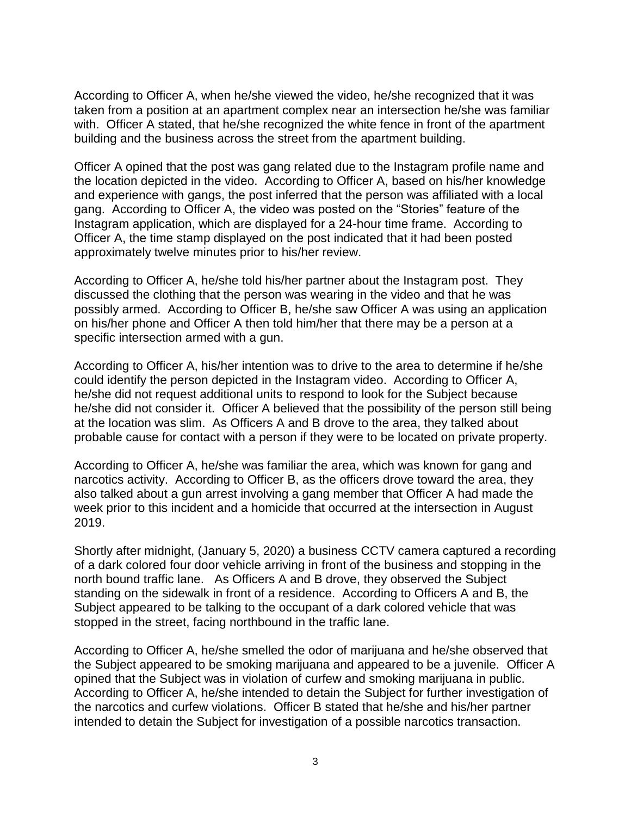According to Officer A, when he/she viewed the video, he/she recognized that it was taken from a position at an apartment complex near an intersection he/she was familiar with. Officer A stated, that he/she recognized the white fence in front of the apartment building and the business across the street from the apartment building.

Officer A opined that the post was gang related due to the Instagram profile name and the location depicted in the video. According to Officer A, based on his/her knowledge and experience with gangs, the post inferred that the person was affiliated with a local gang. According to Officer A, the video was posted on the "Stories" feature of the Instagram application, which are displayed for a 24-hour time frame. According to Officer A, the time stamp displayed on the post indicated that it had been posted approximately twelve minutes prior to his/her review.

According to Officer A, he/she told his/her partner about the Instagram post. They discussed the clothing that the person was wearing in the video and that he was possibly armed. According to Officer B, he/she saw Officer A was using an application on his/her phone and Officer A then told him/her that there may be a person at a specific intersection armed with a gun.

According to Officer A, his/her intention was to drive to the area to determine if he/she could identify the person depicted in the Instagram video. According to Officer A, he/she did not request additional units to respond to look for the Subject because he/she did not consider it. Officer A believed that the possibility of the person still being at the location was slim. As Officers A and B drove to the area, they talked about probable cause for contact with a person if they were to be located on private property.

According to Officer A, he/she was familiar the area, which was known for gang and narcotics activity. According to Officer B, as the officers drove toward the area, they also talked about a gun arrest involving a gang member that Officer A had made the week prior to this incident and a homicide that occurred at the intersection in August 2019.

Shortly after midnight, (January 5, 2020) a business CCTV camera captured a recording of a dark colored four door vehicle arriving in front of the business and stopping in the north bound traffic lane. As Officers A and B drove, they observed the Subject standing on the sidewalk in front of a residence. According to Officers A and B, the Subject appeared to be talking to the occupant of a dark colored vehicle that was stopped in the street, facing northbound in the traffic lane.

According to Officer A, he/she smelled the odor of marijuana and he/she observed that the Subject appeared to be smoking marijuana and appeared to be a juvenile. Officer A opined that the Subject was in violation of curfew and smoking marijuana in public. According to Officer A, he/she intended to detain the Subject for further investigation of the narcotics and curfew violations. Officer B stated that he/she and his/her partner intended to detain the Subject for investigation of a possible narcotics transaction.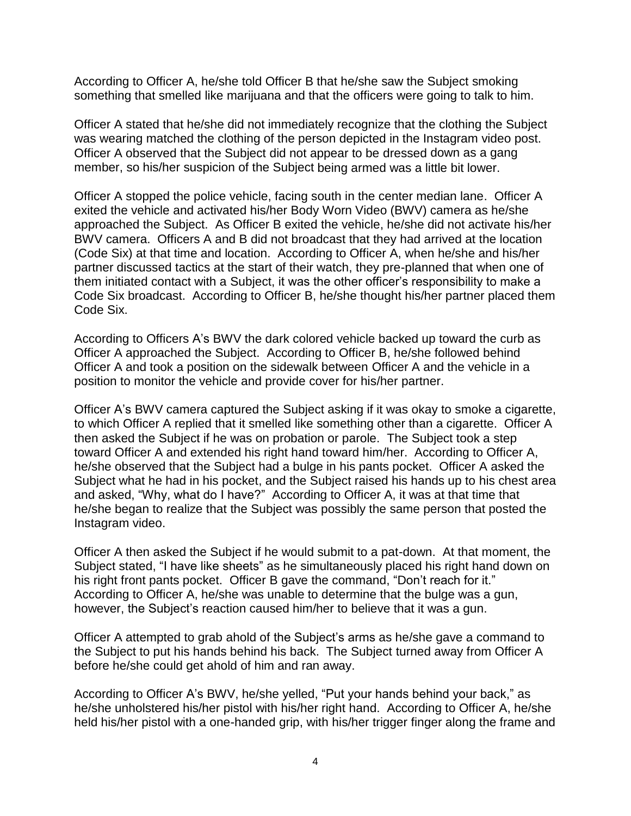According to Officer A, he/she told Officer B that he/she saw the Subject smoking something that smelled like marijuana and that the officers were going to talk to him.

Officer A stated that he/she did not immediately recognize that the clothing the Subject was wearing matched the clothing of the person depicted in the Instagram video post. Officer A observed that the Subject did not appear to be dressed down as a gang member, so his/her suspicion of the Subject being armed was a little bit lower.

Officer A stopped the police vehicle, facing south in the center median lane. Officer A exited the vehicle and activated his/her Body Worn Video (BWV) camera as he/she approached the Subject. As Officer B exited the vehicle, he/she did not activate his/her BWV camera. Officers A and B did not broadcast that they had arrived at the location (Code Six) at that time and location. According to Officer A, when he/she and his/her partner discussed tactics at the start of their watch, they pre-planned that when one of them initiated contact with a Subject, it was the other officer's responsibility to make a Code Six broadcast. According to Officer B, he/she thought his/her partner placed them Code Six.

According to Officers A's BWV the dark colored vehicle backed up toward the curb as Officer A approached the Subject. According to Officer B, he/she followed behind Officer A and took a position on the sidewalk between Officer A and the vehicle in a position to monitor the vehicle and provide cover for his/her partner.

Officer A's BWV camera captured the Subject asking if it was okay to smoke a cigarette, to which Officer A replied that it smelled like something other than a cigarette. Officer A then asked the Subject if he was on probation or parole. The Subject took a step toward Officer A and extended his right hand toward him/her. According to Officer A, he/she observed that the Subject had a bulge in his pants pocket. Officer A asked the Subject what he had in his pocket, and the Subject raised his hands up to his chest area and asked, "Why, what do I have?"According to Officer A, it was at that time that he/she began to realize that the Subject was possibly the same person that posted the Instagram video.

Officer A then asked the Subject if he would submit to a pat-down. At that moment, the Subject stated, "I have like sheets" as he simultaneously placed his right hand down on his right front pants pocket. Officer B gave the command, "Don't reach for it." According to Officer A, he/she was unable to determine that the bulge was a gun, however, the Subject's reaction caused him/her to believe that it was a gun.

Officer A attempted to grab ahold of the Subject's arms as he/she gave a command to the Subject to put his hands behind his back. The Subject turned away from Officer A before he/she could get ahold of him and ran away.

According to Officer A's BWV, he/she yelled, "Put your hands behind your back," as he/she unholstered his/her pistol with his/her right hand. According to Officer A, he/she held his/her pistol with a one-handed grip, with his/her trigger finger along the frame and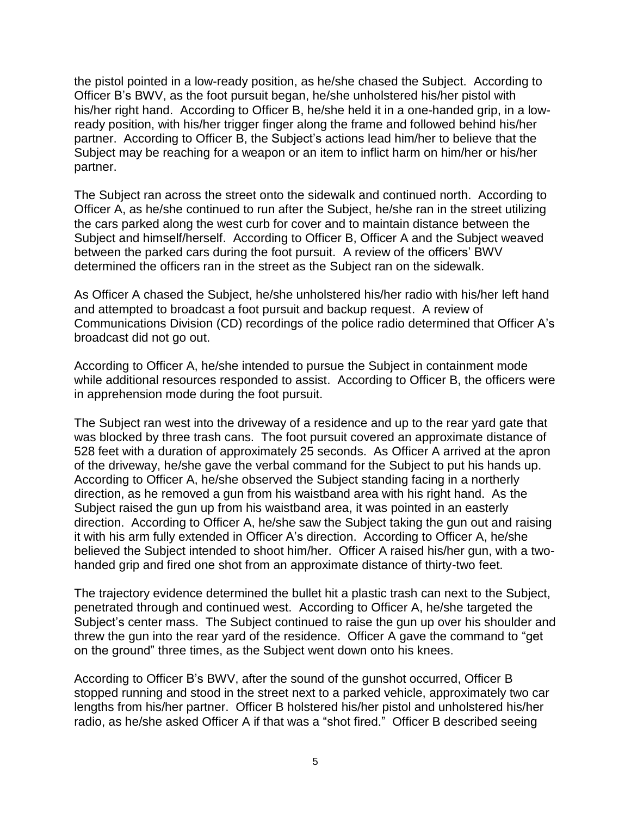the pistol pointed in a low-ready position, as he/she chased the Subject. According to Officer B's BWV, as the foot pursuit began, he/she unholstered his/her pistol with his/her right hand. According to Officer B, he/she held it in a one-handed grip, in a lowready position, with his/her trigger finger along the frame and followed behind his/her partner. According to Officer B, the Subject's actions lead him/her to believe that the Subject may be reaching for a weapon or an item to inflict harm on him/her or his/her partner.

The Subject ran across the street onto the sidewalk and continued north. According to Officer A, as he/she continued to run after the Subject, he/she ran in the street utilizing the cars parked along the west curb for cover and to maintain distance between the Subject and himself/herself. According to Officer B, Officer A and the Subject weaved between the parked cars during the foot pursuit. A review of the officers' BWV determined the officers ran in the street as the Subject ran on the sidewalk.

As Officer A chased the Subject, he/she unholstered his/her radio with his/her left hand and attempted to broadcast a foot pursuit and backup request. A review of Communications Division (CD) recordings of the police radio determined that Officer A's broadcast did not go out.

According to Officer A, he/she intended to pursue the Subject in containment mode while additional resources responded to assist. According to Officer B, the officers were in apprehension mode during the foot pursuit.

The Subject ran west into the driveway of a residence and up to the rear yard gate that was blocked by three trash cans. The foot pursuit covered an approximate distance of 528 feet with a duration of approximately 25 seconds. As Officer A arrived at the apron of the driveway, he/she gave the verbal command for the Subject to put his hands up. According to Officer A, he/she observed the Subject standing facing in a northerly direction, as he removed a gun from his waistband area with his right hand. As the Subject raised the gun up from his waistband area, it was pointed in an easterly direction. According to Officer A, he/she saw the Subject taking the gun out and raising it with his arm fully extended in Officer A's direction. According to Officer A, he/she believed the Subject intended to shoot him/her. Officer A raised his/her gun, with a twohanded grip and fired one shot from an approximate distance of thirty-two feet.

The trajectory evidence determined the bullet hit a plastic trash can next to the Subject, penetrated through and continued west.According to Officer A, he/she targeted the Subject's center mass. The Subject continued to raise the gun up over his shoulder and threw the gun into the rear yard of the residence. Officer A gave the command to "get on the ground" three times, as the Subject went down onto his knees.

According to Officer B's BWV, after the sound of the gunshot occurred, Officer B stopped running and stood in the street next to a parked vehicle, approximately two car lengths from his/her partner. Officer B holstered his/her pistol and unholstered his/her radio, as he/she asked Officer A if that was a "shot fired." Officer B described seeing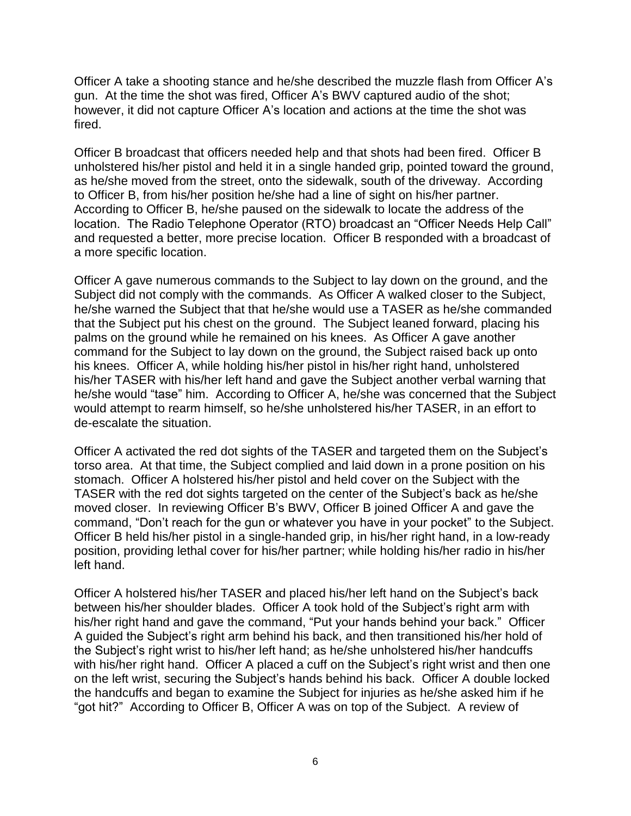Officer A take a shooting stance and he/she described the muzzle flash from Officer A's gun. At the time the shot was fired, Officer A's BWV captured audio of the shot; however, it did not capture Officer A's location and actions at the time the shot was fired.

Officer B broadcast that officers needed help and that shots had been fired. Officer B unholstered his/her pistol and held it in a single handed grip, pointed toward the ground, as he/she moved from the street, onto the sidewalk, south of the driveway. According to Officer B, from his/her position he/she had a line of sight on his/her partner. According to Officer B, he/she paused on the sidewalk to locate the address of the location. The Radio Telephone Operator (RTO) broadcast an "Officer Needs Help Call" and requested a better, more precise location. Officer B responded with a broadcast of a more specific location.

Officer A gave numerous commands to the Subject to lay down on the ground, and the Subject did not comply with the commands. As Officer A walked closer to the Subject, he/she warned the Subject that that he/she would use a TASER as he/she commanded that the Subject put his chest on the ground. The Subject leaned forward, placing his palms on the ground while he remained on his knees. As Officer A gave another command for the Subject to lay down on the ground, the Subject raised back up onto his knees. Officer A, while holding his/her pistol in his/her right hand, unholstered his/her TASER with his/her left hand and gave the Subject another verbal warning that he/she would "tase" him. According to Officer A, he/she was concerned that the Subject would attempt to rearm himself, so he/she unholstered his/her TASER, in an effort to de-escalate the situation.

Officer A activated the red dot sights of the TASER and targeted them on the Subject's torso area. At that time, the Subject complied and laid down in a prone position on his stomach. Officer A holstered his/her pistol and held cover on the Subject with the TASER with the red dot sights targeted on the center of the Subject's back as he/she moved closer. In reviewing Officer B's BWV, Officer B joined Officer A and gave the command, "Don't reach for the gun or whatever you have in your pocket" to the Subject. Officer B held his/her pistol in a single-handed grip, in his/her right hand, in a low-ready position, providing lethal cover for his/her partner; while holding his/her radio in his/her left hand.

Officer A holstered his/her TASER and placed his/her left hand on the Subject's back between his/her shoulder blades. Officer A took hold of the Subject's right arm with his/her right hand and gave the command, "Put your hands behind your back." Officer A guided the Subject's right arm behind his back, and then transitioned his/her hold of the Subject's right wrist to his/her left hand; as he/she unholstered his/her handcuffs with his/her right hand. Officer A placed a cuff on the Subject's right wrist and then one on the left wrist, securing the Subject's hands behind his back. Officer A double locked the handcuffs and began to examine the Subject for injuries as he/she asked him if he "got hit?" According to Officer B, Officer A was on top of the Subject. A review of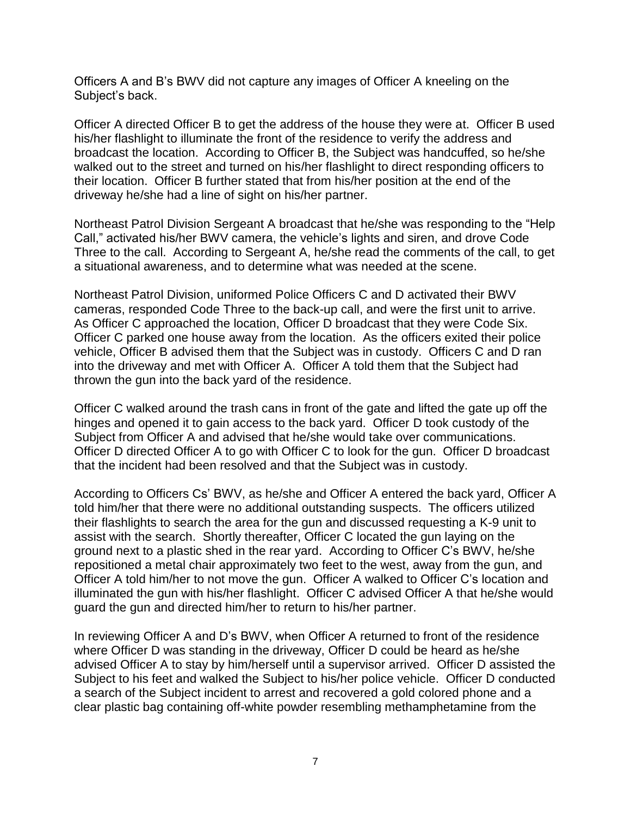Officers A and B's BWV did not capture any images of Officer A kneeling on the Subject's back.

Officer A directed Officer B to get the address of the house they were at. Officer B used his/her flashlight to illuminate the front of the residence to verify the address and broadcast the location. According to Officer B, the Subject was handcuffed, so he/she walked out to the street and turned on his/her flashlight to direct responding officers to their location. Officer B further stated that from his/her position at the end of the driveway he/she had a line of sight on his/her partner.

Northeast Patrol Division Sergeant A broadcast that he/she was responding to the "Help Call," activated his/her BWV camera, the vehicle's lights and siren, and drove Code Three to the call. According to Sergeant A, he/she read the comments of the call, to get a situational awareness, and to determine what was needed at the scene.

Northeast Patrol Division, uniformed Police Officers C and D activated their BWV cameras, responded Code Three to the back-up call, and were the first unit to arrive. As Officer C approached the location, Officer D broadcast that they were Code Six. Officer C parked one house away from the location. As the officers exited their police vehicle, Officer B advised them that the Subject was in custody. Officers C and D ran into the driveway and met with Officer A. Officer A told them that the Subject had thrown the gun into the back yard of the residence.

Officer C walked around the trash cans in front of the gate and lifted the gate up off the hinges and opened it to gain access to the back yard. Officer D took custody of the Subject from Officer A and advised that he/she would take over communications. Officer D directed Officer A to go with Officer C to look for the gun. Officer D broadcast that the incident had been resolved and that the Subject was in custody.

According to Officers Cs' BWV, as he/she and Officer A entered the back yard, Officer A told him/her that there were no additional outstanding suspects. The officers utilized their flashlights to search the area for the gun and discussed requesting a K-9 unit to assist with the search. Shortly thereafter, Officer C located the gun laying on the ground next to a plastic shed in the rear yard. According to Officer C's BWV, he/she repositioned a metal chair approximately two feet to the west, away from the gun, and Officer A told him/her to not move the gun. Officer A walked to Officer C's location and illuminated the gun with his/her flashlight. Officer C advised Officer A that he/she would guard the gun and directed him/her to return to his/her partner.

In reviewing Officer A and D's BWV, when Officer A returned to front of the residence where Officer D was standing in the driveway, Officer D could be heard as he/she advised Officer A to stay by him/herself until a supervisor arrived. Officer D assisted the Subject to his feet and walked the Subject to his/her police vehicle. Officer D conducted a search of the Subject incident to arrest and recovered a gold colored phone and a clear plastic bag containing off-white powder resembling methamphetamine from the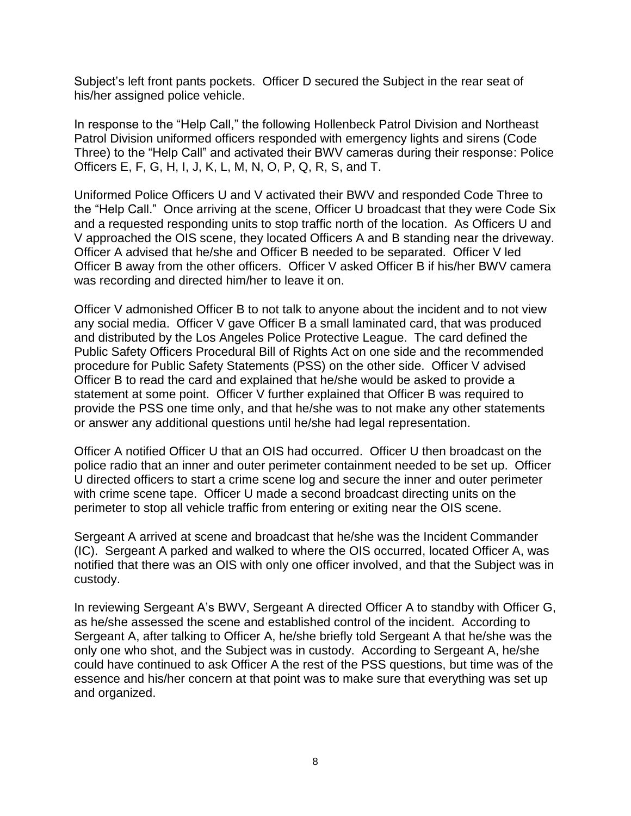Subject's left front pants pockets. Officer D secured the Subject in the rear seat of his/her assigned police vehicle.

In response to the "Help Call," the following Hollenbeck Patrol Division and Northeast Patrol Division uniformed officers responded with emergency lights and sirens (Code Three) to the "Help Call" and activated their BWV cameras during their response: Police Officers E, F, G, H, I, J, K, L, M, N, O, P, Q, R, S, and T.

Uniformed Police Officers U and V activated their BWV and responded Code Three to the "Help Call." Once arriving at the scene, Officer U broadcast that they were Code Six and a requested responding units to stop traffic north of the location. As Officers U and V approached the OIS scene, they located Officers A and B standing near the driveway. Officer A advised that he/she and Officer B needed to be separated. Officer V led Officer B away from the other officers. Officer V asked Officer B if his/her BWV camera was recording and directed him/her to leave it on.

Officer V admonished Officer B to not talk to anyone about the incident and to not view any social media. Officer V gave Officer B a small laminated card, that was produced and distributed by the Los Angeles Police Protective League. The card defined the Public Safety Officers Procedural Bill of Rights Act on one side and the recommended procedure for Public Safety Statements (PSS) on the other side. Officer V advised Officer B to read the card and explained that he/she would be asked to provide a statement at some point. Officer V further explained that Officer B was required to provide the PSS one time only, and that he/she was to not make any other statements or answer any additional questions until he/she had legal representation.

Officer A notified Officer U that an OIS had occurred. Officer U then broadcast on the police radio that an inner and outer perimeter containment needed to be set up. Officer U directed officers to start a crime scene log and secure the inner and outer perimeter with crime scene tape. Officer U made a second broadcast directing units on the perimeter to stop all vehicle traffic from entering or exiting near the OIS scene.

Sergeant A arrived at scene and broadcast that he/she was the Incident Commander (IC). Sergeant A parked and walked to where the OIS occurred, located Officer A, was notified that there was an OIS with only one officer involved, and that the Subject was in custody.

In reviewing Sergeant A's BWV, Sergeant A directed Officer A to standby with Officer G, as he/she assessed the scene and established control of the incident. According to Sergeant A, after talking to Officer A, he/she briefly told Sergeant A that he/she was the only one who shot, and the Subject was in custody. According to Sergeant A, he/she could have continued to ask Officer A the rest of the PSS questions, but time was of the essence and his/her concern at that point was to make sure that everything was set up and organized.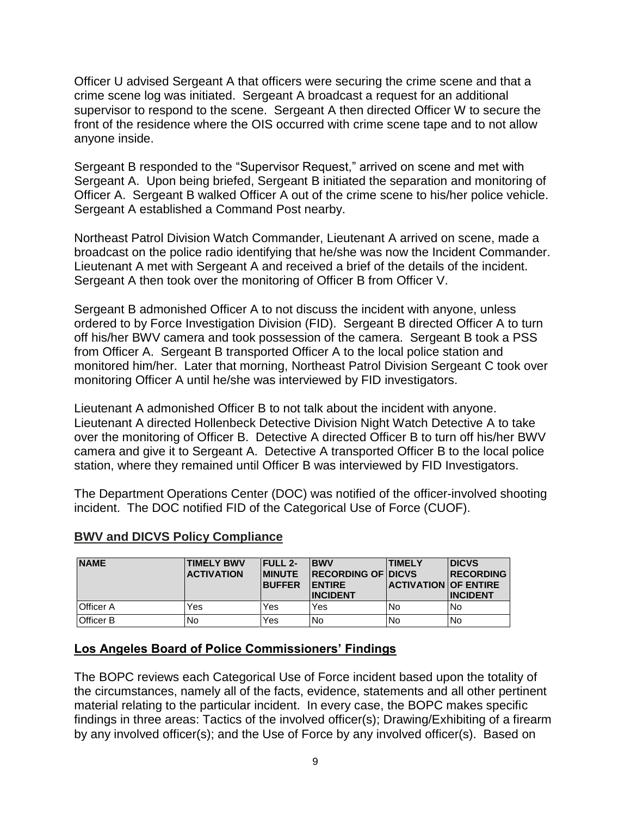Officer U advised Sergeant A that officers were securing the crime scene and that a crime scene log was initiated. Sergeant A broadcast a request for an additional supervisor to respond to the scene. Sergeant A then directed Officer W to secure the front of the residence where the OIS occurred with crime scene tape and to not allow anyone inside.

Sergeant B responded to the "Supervisor Request," arrived on scene and met with Sergeant A. Upon being briefed, Sergeant B initiated the separation and monitoring of Officer A. Sergeant B walked Officer A out of the crime scene to his/her police vehicle. Sergeant A established a Command Post nearby.

Northeast Patrol Division Watch Commander, Lieutenant A arrived on scene, made a broadcast on the police radio identifying that he/she was now the Incident Commander. Lieutenant A met with Sergeant A and received a brief of the details of the incident. Sergeant A then took over the monitoring of Officer B from Officer V.

Sergeant B admonished Officer A to not discuss the incident with anyone, unless ordered to by Force Investigation Division (FID). Sergeant B directed Officer A to turn off his/her BWV camera and took possession of the camera. Sergeant B took a PSS from Officer A. Sergeant B transported Officer A to the local police station and monitored him/her. Later that morning, Northeast Patrol Division Sergeant C took over monitoring Officer A until he/she was interviewed by FID investigators.

Lieutenant A admonished Officer B to not talk about the incident with anyone. Lieutenant A directed Hollenbeck Detective Division Night Watch Detective A to take over the monitoring of Officer B. Detective A directed Officer B to turn off his/her BWV camera and give it to Sergeant A. Detective A transported Officer B to the local police station, where they remained until Officer B was interviewed by FID Investigators.

The Department Operations Center (DOC) was notified of the officer-involved shooting incident. The DOC notified FID of the Categorical Use of Force (CUOF).

| <b>NAME</b>      | <b>TIMELY BWV</b><br><b>ACTIVATION</b> | <b>FULL 2-</b><br><b>IMINUTE</b><br><b>BUFFER</b> | <b>BWV</b><br><b>IRECORDING OF DICVS</b><br><b>IENTIRE</b><br><b>INCIDENT</b> | <b>TIMELY</b><br><b>ACTIVATION OF ENTIRE</b> | <b>DICVS</b><br><b>RECORDING</b><br><b>INCIDENT</b> |
|------------------|----------------------------------------|---------------------------------------------------|-------------------------------------------------------------------------------|----------------------------------------------|-----------------------------------------------------|
| <b>Officer A</b> | Yes                                    | Yes                                               | Yes                                                                           | No.                                          | <b>No</b>                                           |
| <b>Officer B</b> | No                                     | Yes                                               | No                                                                            | <b>No</b>                                    | l No                                                |

## **BWV and DICVS Policy Compliance**

#### **Los Angeles Board of Police Commissioners' Findings**

The BOPC reviews each Categorical Use of Force incident based upon the totality of the circumstances, namely all of the facts, evidence, statements and all other pertinent material relating to the particular incident. In every case, the BOPC makes specific findings in three areas: Tactics of the involved officer(s); Drawing/Exhibiting of a firearm by any involved officer(s); and the Use of Force by any involved officer(s). Based on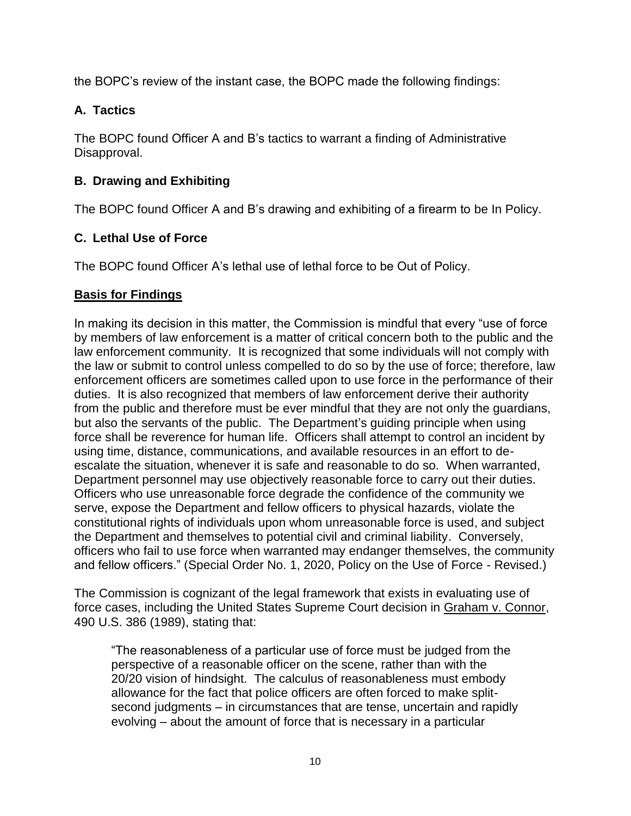the BOPC's review of the instant case, the BOPC made the following findings:

# **A. Tactics**

The BOPC found Officer A and B's tactics to warrant a finding of Administrative Disapproval.

# **B. Drawing and Exhibiting**

The BOPC found Officer A and B's drawing and exhibiting of a firearm to be In Policy.

# **C. Lethal Use of Force**

The BOPC found Officer A's lethal use of lethal force to be Out of Policy.

## **Basis for Findings**

In making its decision in this matter, the Commission is mindful that every "use of force by members of law enforcement is a matter of critical concern both to the public and the law enforcement community. It is recognized that some individuals will not comply with the law or submit to control unless compelled to do so by the use of force; therefore, law enforcement officers are sometimes called upon to use force in the performance of their duties. It is also recognized that members of law enforcement derive their authority from the public and therefore must be ever mindful that they are not only the guardians, but also the servants of the public. The Department's guiding principle when using force shall be reverence for human life. Officers shall attempt to control an incident by using time, distance, communications, and available resources in an effort to deescalate the situation, whenever it is safe and reasonable to do so. When warranted, Department personnel may use objectively reasonable force to carry out their duties. Officers who use unreasonable force degrade the confidence of the community we serve, expose the Department and fellow officers to physical hazards, violate the constitutional rights of individuals upon whom unreasonable force is used, and subject the Department and themselves to potential civil and criminal liability. Conversely, officers who fail to use force when warranted may endanger themselves, the community and fellow officers." (Special Order No. 1, 2020, Policy on the Use of Force - Revised.)

The Commission is cognizant of the legal framework that exists in evaluating use of force cases, including the United States Supreme Court decision in Graham v. Connor, 490 U.S. 386 (1989), stating that:

"The reasonableness of a particular use of force must be judged from the perspective of a reasonable officer on the scene, rather than with the 20/20 vision of hindsight. The calculus of reasonableness must embody allowance for the fact that police officers are often forced to make splitsecond judgments – in circumstances that are tense, uncertain and rapidly evolving – about the amount of force that is necessary in a particular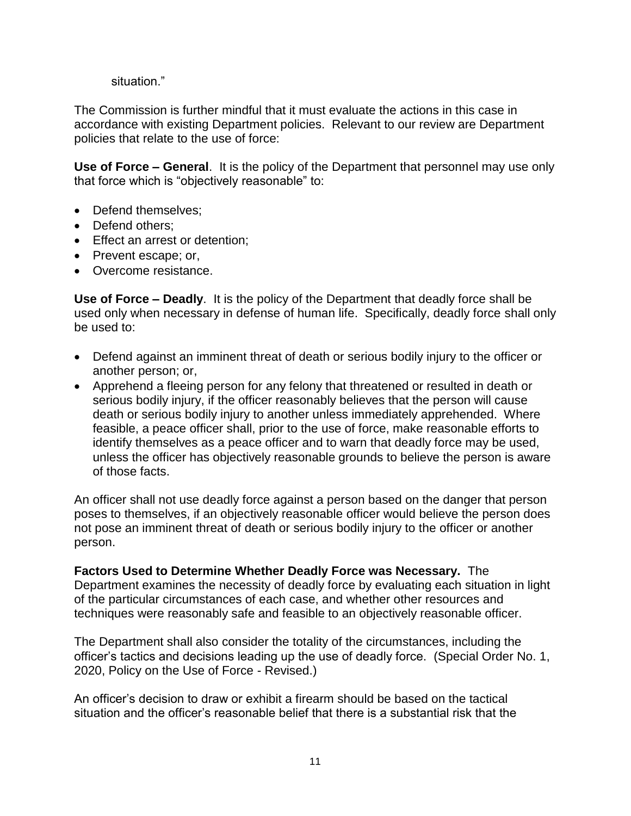#### situation."

The Commission is further mindful that it must evaluate the actions in this case in accordance with existing Department policies. Relevant to our review are Department policies that relate to the use of force:

**Use of Force – General**. It is the policy of the Department that personnel may use only that force which is "objectively reasonable" to:

- Defend themselves:
- Defend others:
- Effect an arrest or detention;
- Prevent escape; or,
- Overcome resistance.

**Use of Force – Deadly**. It is the policy of the Department that deadly force shall be used only when necessary in defense of human life. Specifically, deadly force shall only be used to:

- Defend against an imminent threat of death or serious bodily injury to the officer or another person; or,
- Apprehend a fleeing person for any felony that threatened or resulted in death or serious bodily injury, if the officer reasonably believes that the person will cause death or serious bodily injury to another unless immediately apprehended. Where feasible, a peace officer shall, prior to the use of force, make reasonable efforts to identify themselves as a peace officer and to warn that deadly force may be used, unless the officer has objectively reasonable grounds to believe the person is aware of those facts.

An officer shall not use deadly force against a person based on the danger that person poses to themselves, if an objectively reasonable officer would believe the person does not pose an imminent threat of death or serious bodily injury to the officer or another person.

**Factors Used to Determine Whether Deadly Force was Necessary.** The Department examines the necessity of deadly force by evaluating each situation in light of the particular circumstances of each case, and whether other resources and techniques were reasonably safe and feasible to an objectively reasonable officer.

The Department shall also consider the totality of the circumstances, including the officer's tactics and decisions leading up the use of deadly force. (Special Order No. 1, 2020, Policy on the Use of Force - Revised.)

An officer's decision to draw or exhibit a firearm should be based on the tactical situation and the officer's reasonable belief that there is a substantial risk that the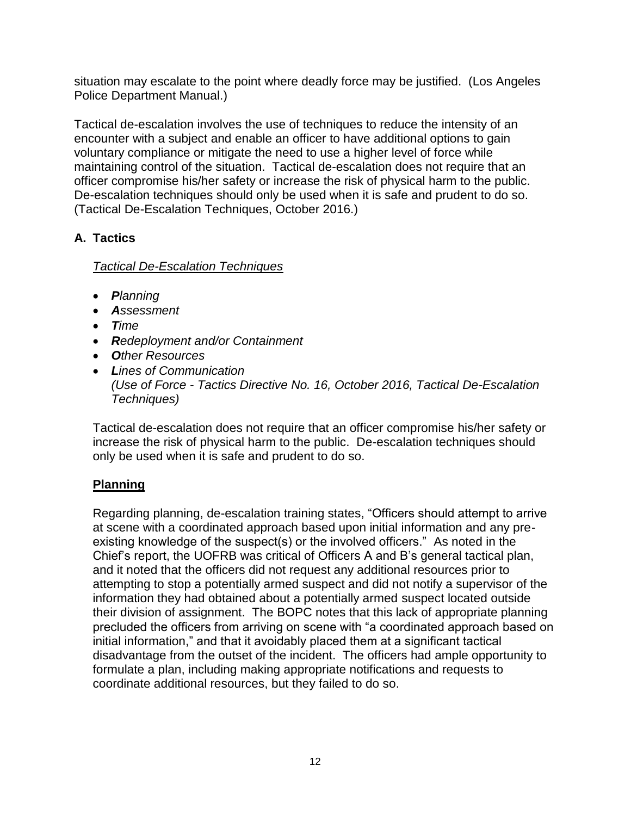situation may escalate to the point where deadly force may be justified. (Los Angeles Police Department Manual.)

Tactical de-escalation involves the use of techniques to reduce the intensity of an encounter with a subject and enable an officer to have additional options to gain voluntary compliance or mitigate the need to use a higher level of force while maintaining control of the situation. Tactical de-escalation does not require that an officer compromise his/her safety or increase the risk of physical harm to the public. De-escalation techniques should only be used when it is safe and prudent to do so. (Tactical De-Escalation Techniques, October 2016.)

# **A. Tactics**

# *Tactical De-Escalation Techniques*

- *Planning*
- *Assessment*
- *Time*
- *Redeployment and/or Containment*
- *Other Resources*
- *Lines of Communication (Use of Force - Tactics Directive No. 16, October 2016, Tactical De-Escalation Techniques)*

Tactical de-escalation does not require that an officer compromise his/her safety or increase the risk of physical harm to the public. De-escalation techniques should only be used when it is safe and prudent to do so.

# **Planning**

Regarding planning, de-escalation training states, "Officers should attempt to arrive at scene with a coordinated approach based upon initial information and any preexisting knowledge of the suspect(s) or the involved officers." As noted in the Chief's report, the UOFRB was critical of Officers A and B's general tactical plan, and it noted that the officers did not request any additional resources prior to attempting to stop a potentially armed suspect and did not notify a supervisor of the information they had obtained about a potentially armed suspect located outside their division of assignment. The BOPC notes that this lack of appropriate planning precluded the officers from arriving on scene with "a coordinated approach based on initial information," and that it avoidably placed them at a significant tactical disadvantage from the outset of the incident. The officers had ample opportunity to formulate a plan, including making appropriate notifications and requests to coordinate additional resources, but they failed to do so.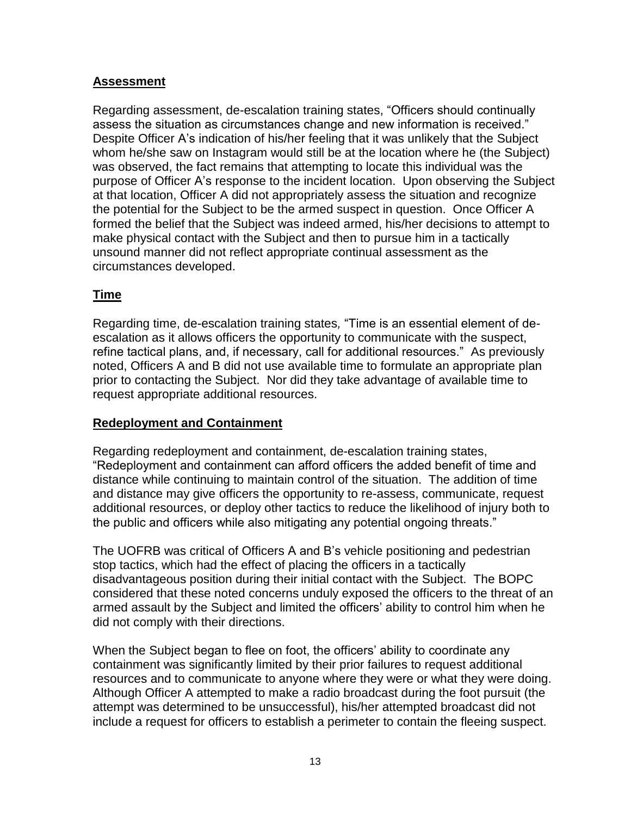### **Assessment**

Regarding assessment, de-escalation training states, "Officers should continually assess the situation as circumstances change and new information is received." Despite Officer A's indication of his/her feeling that it was unlikely that the Subject whom he/she saw on Instagram would still be at the location where he (the Subject) was observed, the fact remains that attempting to locate this individual was the purpose of Officer A's response to the incident location. Upon observing the Subject at that location, Officer A did not appropriately assess the situation and recognize the potential for the Subject to be the armed suspect in question. Once Officer A formed the belief that the Subject was indeed armed, his/her decisions to attempt to make physical contact with the Subject and then to pursue him in a tactically unsound manner did not reflect appropriate continual assessment as the circumstances developed.

## **Time**

Regarding time, de-escalation training states*,* "Time is an essential element of deescalation as it allows officers the opportunity to communicate with the suspect, refine tactical plans, and, if necessary, call for additional resources." As previously noted, Officers A and B did not use available time to formulate an appropriate plan prior to contacting the Subject. Nor did they take advantage of available time to request appropriate additional resources.

#### **Redeployment and Containment**

Regarding redeployment and containment, de-escalation training states, "Redeployment and containment can afford officers the added benefit of time and distance while continuing to maintain control of the situation. The addition of time and distance may give officers the opportunity to re-assess, communicate, request additional resources, or deploy other tactics to reduce the likelihood of injury both to the public and officers while also mitigating any potential ongoing threats."

The UOFRB was critical of Officers A and B's vehicle positioning and pedestrian stop tactics, which had the effect of placing the officers in a tactically disadvantageous position during their initial contact with the Subject. The BOPC considered that these noted concerns unduly exposed the officers to the threat of an armed assault by the Subject and limited the officers' ability to control him when he did not comply with their directions.

When the Subject began to flee on foot, the officers' ability to coordinate any containment was significantly limited by their prior failures to request additional resources and to communicate to anyone where they were or what they were doing. Although Officer A attempted to make a radio broadcast during the foot pursuit (the attempt was determined to be unsuccessful), his/her attempted broadcast did not include a request for officers to establish a perimeter to contain the fleeing suspect.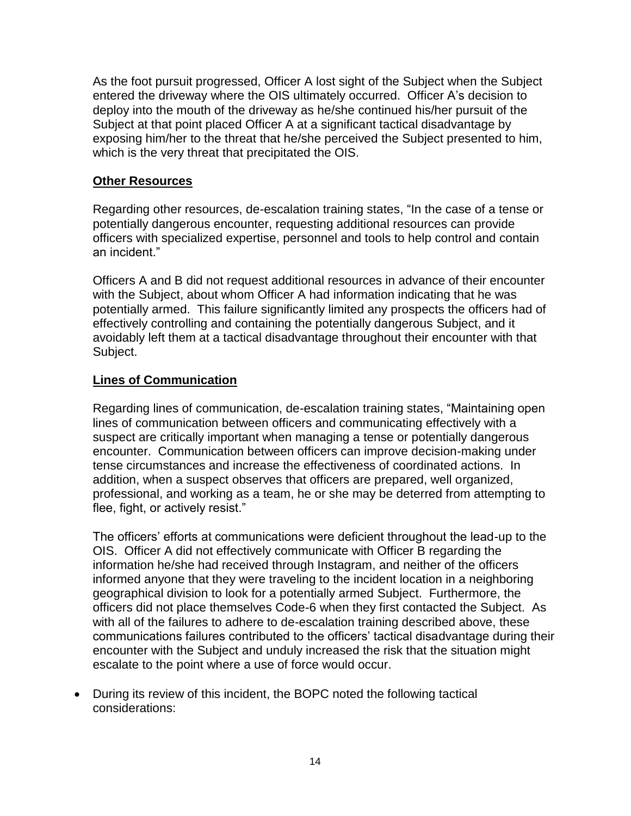As the foot pursuit progressed, Officer A lost sight of the Subject when the Subject entered the driveway where the OIS ultimately occurred. Officer A's decision to deploy into the mouth of the driveway as he/she continued his/her pursuit of the Subject at that point placed Officer A at a significant tactical disadvantage by exposing him/her to the threat that he/she perceived the Subject presented to him, which is the very threat that precipitated the OIS.

### **Other Resources**

Regarding other resources, de-escalation training states, "In the case of a tense or potentially dangerous encounter, requesting additional resources can provide officers with specialized expertise, personnel and tools to help control and contain an incident."

Officers A and B did not request additional resources in advance of their encounter with the Subject, about whom Officer A had information indicating that he was potentially armed. This failure significantly limited any prospects the officers had of effectively controlling and containing the potentially dangerous Subject, and it avoidably left them at a tactical disadvantage throughout their encounter with that Subject.

#### **Lines of Communication**

Regarding lines of communication, de-escalation training states, "Maintaining open lines of communication between officers and communicating effectively with a suspect are critically important when managing a tense or potentially dangerous encounter. Communication between officers can improve decision-making under tense circumstances and increase the effectiveness of coordinated actions. In addition, when a suspect observes that officers are prepared, well organized, professional, and working as a team, he or she may be deterred from attempting to flee, fight, or actively resist."

The officers' efforts at communications were deficient throughout the lead-up to the OIS. Officer A did not effectively communicate with Officer B regarding the information he/she had received through Instagram, and neither of the officers informed anyone that they were traveling to the incident location in a neighboring geographical division to look for a potentially armed Subject. Furthermore, the officers did not place themselves Code-6 when they first contacted the Subject. As with all of the failures to adhere to de-escalation training described above, these communications failures contributed to the officers' tactical disadvantage during their encounter with the Subject and unduly increased the risk that the situation might escalate to the point where a use of force would occur.

• During its review of this incident, the BOPC noted the following tactical considerations: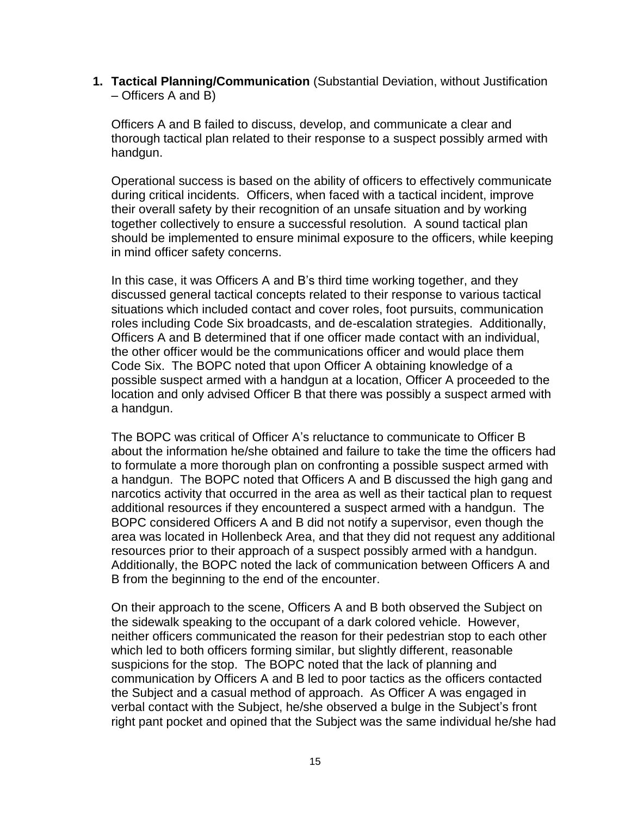**1. Tactical Planning/Communication** (Substantial Deviation, without Justification – Officers A and B)

Officers A and B failed to discuss, develop, and communicate a clear and thorough tactical plan related to their response to a suspect possibly armed with handgun.

Operational success is based on the ability of officers to effectively communicate during critical incidents. Officers, when faced with a tactical incident, improve their overall safety by their recognition of an unsafe situation and by working together collectively to ensure a successful resolution. A sound tactical plan should be implemented to ensure minimal exposure to the officers, while keeping in mind officer safety concerns.

In this case, it was Officers A and B's third time working together, and they discussed general tactical concepts related to their response to various tactical situations which included contact and cover roles, foot pursuits, communication roles including Code Six broadcasts, and de-escalation strategies. Additionally, Officers A and B determined that if one officer made contact with an individual, the other officer would be the communications officer and would place them Code Six. The BOPC noted that upon Officer A obtaining knowledge of a possible suspect armed with a handgun at a location, Officer A proceeded to the location and only advised Officer B that there was possibly a suspect armed with a handgun.

The BOPC was critical of Officer A's reluctance to communicate to Officer B about the information he/she obtained and failure to take the time the officers had to formulate a more thorough plan on confronting a possible suspect armed with a handgun. The BOPC noted that Officers A and B discussed the high gang and narcotics activity that occurred in the area as well as their tactical plan to request additional resources if they encountered a suspect armed with a handgun. The BOPC considered Officers A and B did not notify a supervisor, even though the area was located in Hollenbeck Area, and that they did not request any additional resources prior to their approach of a suspect possibly armed with a handgun. Additionally, the BOPC noted the lack of communication between Officers A and B from the beginning to the end of the encounter.

On their approach to the scene, Officers A and B both observed the Subject on the sidewalk speaking to the occupant of a dark colored vehicle. However, neither officers communicated the reason for their pedestrian stop to each other which led to both officers forming similar, but slightly different, reasonable suspicions for the stop. The BOPC noted that the lack of planning and communication by Officers A and B led to poor tactics as the officers contacted the Subject and a casual method of approach. As Officer A was engaged in verbal contact with the Subject, he/she observed a bulge in the Subject's front right pant pocket and opined that the Subject was the same individual he/she had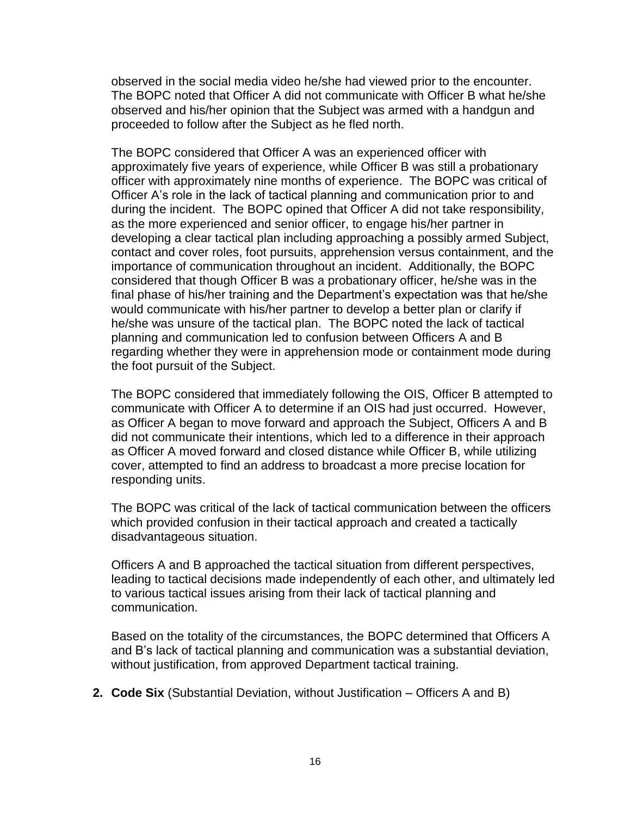observed in the social media video he/she had viewed prior to the encounter. The BOPC noted that Officer A did not communicate with Officer B what he/she observed and his/her opinion that the Subject was armed with a handgun and proceeded to follow after the Subject as he fled north.

The BOPC considered that Officer A was an experienced officer with approximately five years of experience, while Officer B was still a probationary officer with approximately nine months of experience. The BOPC was critical of Officer A's role in the lack of tactical planning and communication prior to and during the incident. The BOPC opined that Officer A did not take responsibility, as the more experienced and senior officer, to engage his/her partner in developing a clear tactical plan including approaching a possibly armed Subject, contact and cover roles, foot pursuits, apprehension versus containment, and the importance of communication throughout an incident. Additionally, the BOPC considered that though Officer B was a probationary officer, he/she was in the final phase of his/her training and the Department's expectation was that he/she would communicate with his/her partner to develop a better plan or clarify if he/she was unsure of the tactical plan. The BOPC noted the lack of tactical planning and communication led to confusion between Officers A and B regarding whether they were in apprehension mode or containment mode during the foot pursuit of the Subject.

The BOPC considered that immediately following the OIS, Officer B attempted to communicate with Officer A to determine if an OIS had just occurred. However, as Officer A began to move forward and approach the Subject, Officers A and B did not communicate their intentions, which led to a difference in their approach as Officer A moved forward and closed distance while Officer B, while utilizing cover, attempted to find an address to broadcast a more precise location for responding units.

The BOPC was critical of the lack of tactical communication between the officers which provided confusion in their tactical approach and created a tactically disadvantageous situation.

Officers A and B approached the tactical situation from different perspectives, leading to tactical decisions made independently of each other, and ultimately led to various tactical issues arising from their lack of tactical planning and communication.

Based on the totality of the circumstances, the BOPC determined that Officers A and B's lack of tactical planning and communication was a substantial deviation, without justification, from approved Department tactical training.

**2. Code Six** (Substantial Deviation, without Justification – Officers A and B)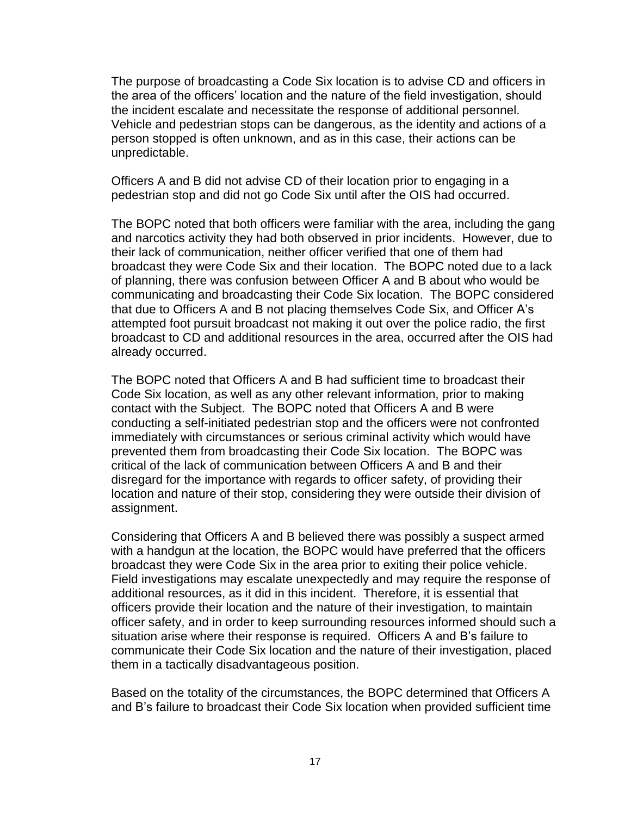The purpose of broadcasting a Code Six location is to advise CD and officers in the area of the officers' location and the nature of the field investigation, should the incident escalate and necessitate the response of additional personnel. Vehicle and pedestrian stops can be dangerous, as the identity and actions of a person stopped is often unknown, and as in this case, their actions can be unpredictable.

Officers A and B did not advise CD of their location prior to engaging in a pedestrian stop and did not go Code Six until after the OIS had occurred.

The BOPC noted that both officers were familiar with the area, including the gang and narcotics activity they had both observed in prior incidents. However, due to their lack of communication, neither officer verified that one of them had broadcast they were Code Six and their location. The BOPC noted due to a lack of planning, there was confusion between Officer A and B about who would be communicating and broadcasting their Code Six location. The BOPC considered that due to Officers A and B not placing themselves Code Six, and Officer A's attempted foot pursuit broadcast not making it out over the police radio, the first broadcast to CD and additional resources in the area, occurred after the OIS had already occurred.

The BOPC noted that Officers A and B had sufficient time to broadcast their Code Six location, as well as any other relevant information, prior to making contact with the Subject. The BOPC noted that Officers A and B were conducting a self-initiated pedestrian stop and the officers were not confronted immediately with circumstances or serious criminal activity which would have prevented them from broadcasting their Code Six location. The BOPC was critical of the lack of communication between Officers A and B and their disregard for the importance with regards to officer safety, of providing their location and nature of their stop, considering they were outside their division of assignment.

Considering that Officers A and B believed there was possibly a suspect armed with a handgun at the location, the BOPC would have preferred that the officers broadcast they were Code Six in the area prior to exiting their police vehicle. Field investigations may escalate unexpectedly and may require the response of additional resources, as it did in this incident. Therefore, it is essential that officers provide their location and the nature of their investigation, to maintain officer safety, and in order to keep surrounding resources informed should such a situation arise where their response is required. Officers A and B's failure to communicate their Code Six location and the nature of their investigation, placed them in a tactically disadvantageous position.

Based on the totality of the circumstances, the BOPC determined that Officers A and B's failure to broadcast their Code Six location when provided sufficient time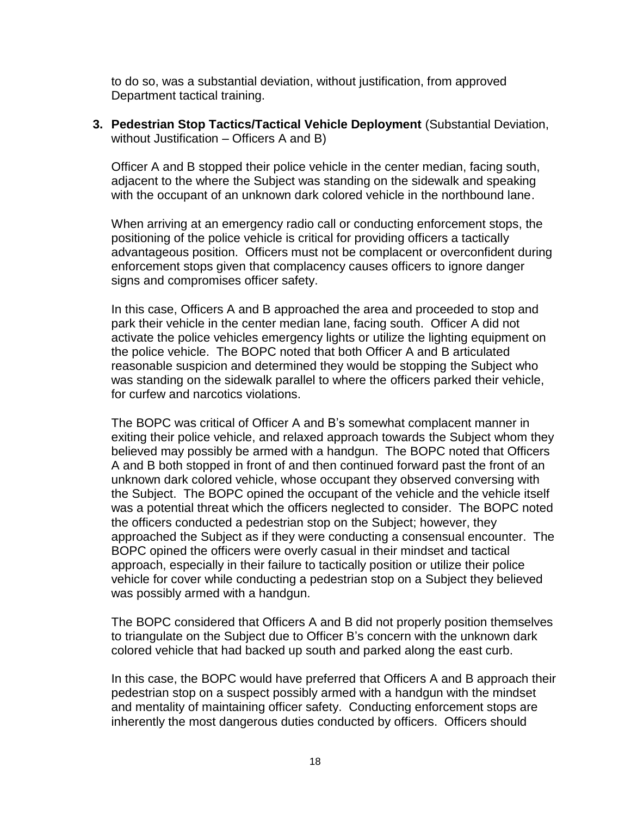to do so, was a substantial deviation, without justification, from approved Department tactical training.

**3. Pedestrian Stop Tactics/Tactical Vehicle Deployment** (Substantial Deviation, without Justification – Officers A and B)

Officer A and B stopped their police vehicle in the center median, facing south, adjacent to the where the Subject was standing on the sidewalk and speaking with the occupant of an unknown dark colored vehicle in the northbound lane.

When arriving at an emergency radio call or conducting enforcement stops, the positioning of the police vehicle is critical for providing officers a tactically advantageous position. Officers must not be complacent or overconfident during enforcement stops given that complacency causes officers to ignore danger signs and compromises officer safety.

In this case, Officers A and B approached the area and proceeded to stop and park their vehicle in the center median lane, facing south. Officer A did not activate the police vehicles emergency lights or utilize the lighting equipment on the police vehicle. The BOPC noted that both Officer A and B articulated reasonable suspicion and determined they would be stopping the Subject who was standing on the sidewalk parallel to where the officers parked their vehicle, for curfew and narcotics violations.

The BOPC was critical of Officer A and B's somewhat complacent manner in exiting their police vehicle, and relaxed approach towards the Subject whom they believed may possibly be armed with a handgun. The BOPC noted that Officers A and B both stopped in front of and then continued forward past the front of an unknown dark colored vehicle, whose occupant they observed conversing with the Subject. The BOPC opined the occupant of the vehicle and the vehicle itself was a potential threat which the officers neglected to consider. The BOPC noted the officers conducted a pedestrian stop on the Subject; however, they approached the Subject as if they were conducting a consensual encounter. The BOPC opined the officers were overly casual in their mindset and tactical approach, especially in their failure to tactically position or utilize their police vehicle for cover while conducting a pedestrian stop on a Subject they believed was possibly armed with a handgun.

The BOPC considered that Officers A and B did not properly position themselves to triangulate on the Subject due to Officer B's concern with the unknown dark colored vehicle that had backed up south and parked along the east curb.

In this case, the BOPC would have preferred that Officers A and B approach their pedestrian stop on a suspect possibly armed with a handgun with the mindset and mentality of maintaining officer safety. Conducting enforcement stops are inherently the most dangerous duties conducted by officers. Officers should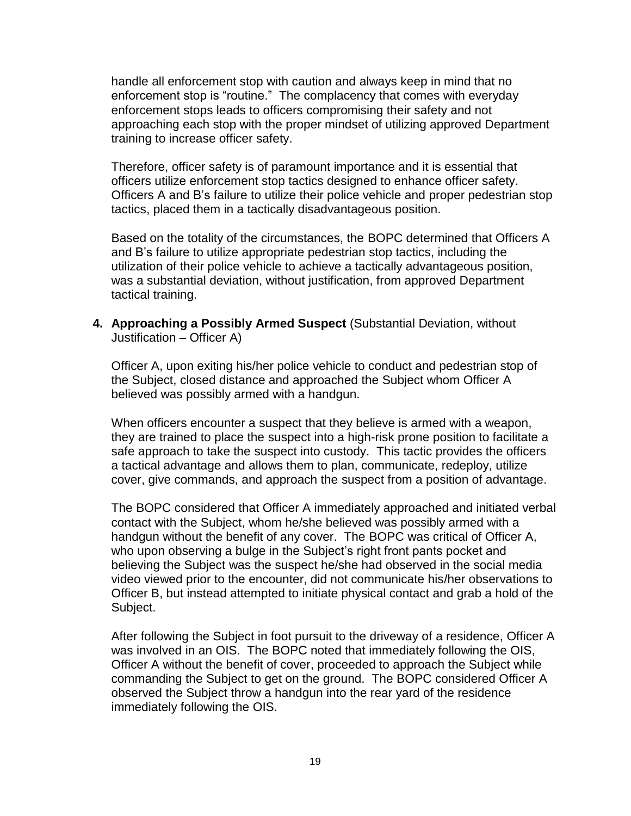handle all enforcement stop with caution and always keep in mind that no enforcement stop is "routine." The complacency that comes with everyday enforcement stops leads to officers compromising their safety and not approaching each stop with the proper mindset of utilizing approved Department training to increase officer safety.

Therefore, officer safety is of paramount importance and it is essential that officers utilize enforcement stop tactics designed to enhance officer safety. Officers A and B's failure to utilize their police vehicle and proper pedestrian stop tactics, placed them in a tactically disadvantageous position.

Based on the totality of the circumstances, the BOPC determined that Officers A and B's failure to utilize appropriate pedestrian stop tactics, including the utilization of their police vehicle to achieve a tactically advantageous position, was a substantial deviation, without justification, from approved Department tactical training.

**4. Approaching a Possibly Armed Suspect** (Substantial Deviation, without Justification – Officer A)

Officer A, upon exiting his/her police vehicle to conduct and pedestrian stop of the Subject, closed distance and approached the Subject whom Officer A believed was possibly armed with a handgun.

When officers encounter a suspect that they believe is armed with a weapon, they are trained to place the suspect into a high-risk prone position to facilitate a safe approach to take the suspect into custody. This tactic provides the officers a tactical advantage and allows them to plan, communicate, redeploy, utilize cover, give commands, and approach the suspect from a position of advantage.

The BOPC considered that Officer A immediately approached and initiated verbal contact with the Subject, whom he/she believed was possibly armed with a handgun without the benefit of any cover. The BOPC was critical of Officer A, who upon observing a bulge in the Subject's right front pants pocket and believing the Subject was the suspect he/she had observed in the social media video viewed prior to the encounter, did not communicate his/her observations to Officer B, but instead attempted to initiate physical contact and grab a hold of the Subject.

After following the Subject in foot pursuit to the driveway of a residence, Officer A was involved in an OIS. The BOPC noted that immediately following the OIS, Officer A without the benefit of cover, proceeded to approach the Subject while commanding the Subject to get on the ground. The BOPC considered Officer A observed the Subject throw a handgun into the rear yard of the residence immediately following the OIS.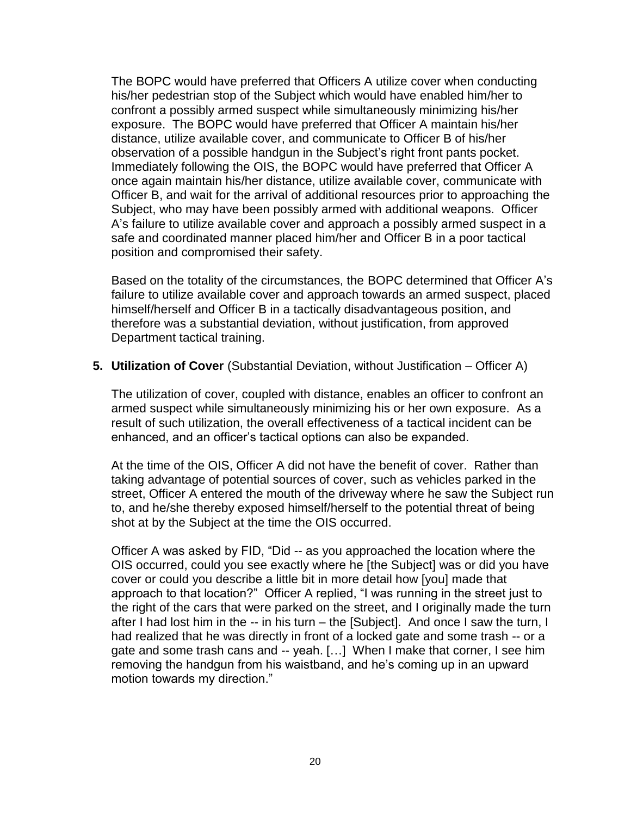The BOPC would have preferred that Officers A utilize cover when conducting his/her pedestrian stop of the Subject which would have enabled him/her to confront a possibly armed suspect while simultaneously minimizing his/her exposure. The BOPC would have preferred that Officer A maintain his/her distance, utilize available cover, and communicate to Officer B of his/her observation of a possible handgun in the Subject's right front pants pocket. Immediately following the OIS, the BOPC would have preferred that Officer A once again maintain his/her distance, utilize available cover, communicate with Officer B, and wait for the arrival of additional resources prior to approaching the Subject, who may have been possibly armed with additional weapons. Officer A's failure to utilize available cover and approach a possibly armed suspect in a safe and coordinated manner placed him/her and Officer B in a poor tactical position and compromised their safety.

Based on the totality of the circumstances, the BOPC determined that Officer A's failure to utilize available cover and approach towards an armed suspect, placed himself/herself and Officer B in a tactically disadvantageous position, and therefore was a substantial deviation, without justification, from approved Department tactical training.

**5. Utilization of Cover** (Substantial Deviation, without Justification – Officer A)

The utilization of cover, coupled with distance, enables an officer to confront an armed suspect while simultaneously minimizing his or her own exposure. As a result of such utilization, the overall effectiveness of a tactical incident can be enhanced, and an officer's tactical options can also be expanded.

At the time of the OIS, Officer A did not have the benefit of cover. Rather than taking advantage of potential sources of cover, such as vehicles parked in the street, Officer A entered the mouth of the driveway where he saw the Subject run to, and he/she thereby exposed himself/herself to the potential threat of being shot at by the Subject at the time the OIS occurred.

Officer A was asked by FID, "Did -- as you approached the location where the OIS occurred, could you see exactly where he [the Subject] was or did you have cover or could you describe a little bit in more detail how [you] made that approach to that location?" Officer A replied, "I was running in the street just to the right of the cars that were parked on the street, and I originally made the turn after I had lost him in the -- in his turn – the [Subject]. And once I saw the turn, I had realized that he was directly in front of a locked gate and some trash -- or a gate and some trash cans and -- yeah. […] When I make that corner, I see him removing the handgun from his waistband, and he's coming up in an upward motion towards my direction."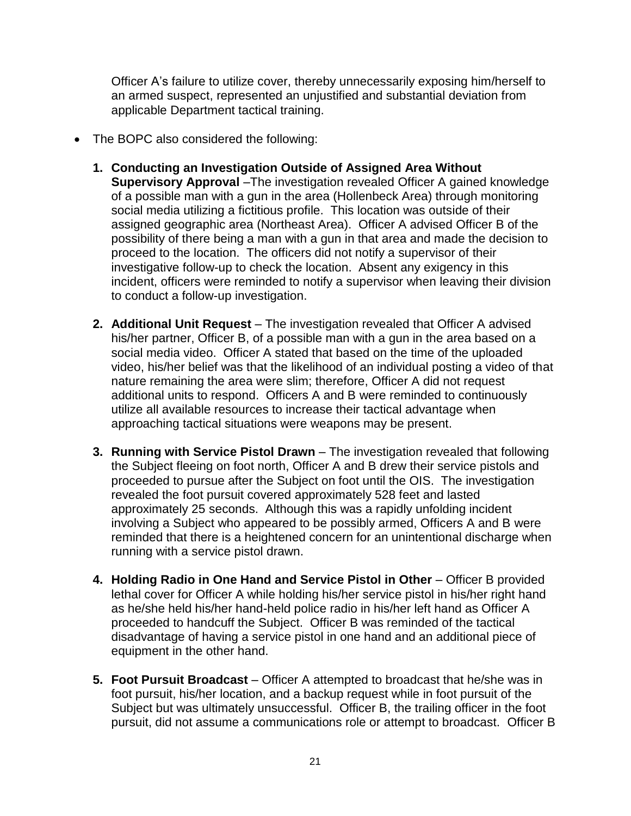Officer A's failure to utilize cover, thereby unnecessarily exposing him/herself to an armed suspect, represented an unjustified and substantial deviation from applicable Department tactical training.

- The BOPC also considered the following:
	- **1. Conducting an Investigation Outside of Assigned Area Without Supervisory Approval** –The investigation revealed Officer A gained knowledge of a possible man with a gun in the area (Hollenbeck Area) through monitoring social media utilizing a fictitious profile. This location was outside of their assigned geographic area (Northeast Area). Officer A advised Officer B of the possibility of there being a man with a gun in that area and made the decision to proceed to the location. The officers did not notify a supervisor of their investigative follow-up to check the location. Absent any exigency in this incident, officers were reminded to notify a supervisor when leaving their division to conduct a follow-up investigation.
	- **2. Additional Unit Request** The investigation revealed that Officer A advised his/her partner, Officer B, of a possible man with a gun in the area based on a social media video. Officer A stated that based on the time of the uploaded video, his/her belief was that the likelihood of an individual posting a video of that nature remaining the area were slim; therefore, Officer A did not request additional units to respond. Officers A and B were reminded to continuously utilize all available resources to increase their tactical advantage when approaching tactical situations were weapons may be present.
	- **3. Running with Service Pistol Drawn** The investigation revealed that following the Subject fleeing on foot north, Officer A and B drew their service pistols and proceeded to pursue after the Subject on foot until the OIS. The investigation revealed the foot pursuit covered approximately 528 feet and lasted approximately 25 seconds. Although this was a rapidly unfolding incident involving a Subject who appeared to be possibly armed, Officers A and B were reminded that there is a heightened concern for an unintentional discharge when running with a service pistol drawn.
	- **4. Holding Radio in One Hand and Service Pistol in Other Officer B provided** lethal cover for Officer A while holding his/her service pistol in his/her right hand as he/she held his/her hand-held police radio in his/her left hand as Officer A proceeded to handcuff the Subject. Officer B was reminded of the tactical disadvantage of having a service pistol in one hand and an additional piece of equipment in the other hand.
	- **5. Foot Pursuit Broadcast**  Officer A attempted to broadcast that he/she was in foot pursuit, his/her location, and a backup request while in foot pursuit of the Subject but was ultimately unsuccessful. Officer B, the trailing officer in the foot pursuit, did not assume a communications role or attempt to broadcast. Officer B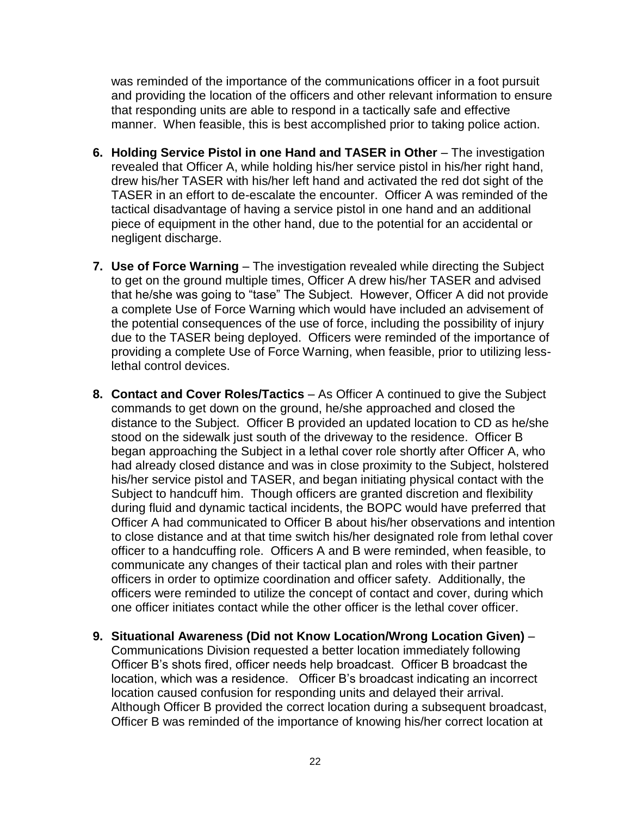was reminded of the importance of the communications officer in a foot pursuit and providing the location of the officers and other relevant information to ensure that responding units are able to respond in a tactically safe and effective manner. When feasible, this is best accomplished prior to taking police action.

- **6. Holding Service Pistol in one Hand and TASER in Other** The investigation revealed that Officer A, while holding his/her service pistol in his/her right hand, drew his/her TASER with his/her left hand and activated the red dot sight of the TASER in an effort to de-escalate the encounter. Officer A was reminded of the tactical disadvantage of having a service pistol in one hand and an additional piece of equipment in the other hand, due to the potential for an accidental or negligent discharge.
- **7. Use of Force Warning**  The investigation revealed while directing the Subject to get on the ground multiple times, Officer A drew his/her TASER and advised that he/she was going to "tase" The Subject. However, Officer A did not provide a complete Use of Force Warning which would have included an advisement of the potential consequences of the use of force, including the possibility of injury due to the TASER being deployed. Officers were reminded of the importance of providing a complete Use of Force Warning, when feasible, prior to utilizing lesslethal control devices.
- **8. Contact and Cover Roles/Tactics**  As Officer A continued to give the Subject commands to get down on the ground, he/she approached and closed the distance to the Subject. Officer B provided an updated location to CD as he/she stood on the sidewalk just south of the driveway to the residence. Officer B began approaching the Subject in a lethal cover role shortly after Officer A, who had already closed distance and was in close proximity to the Subject, holstered his/her service pistol and TASER, and began initiating physical contact with the Subject to handcuff him. Though officers are granted discretion and flexibility during fluid and dynamic tactical incidents, the BOPC would have preferred that Officer A had communicated to Officer B about his/her observations and intention to close distance and at that time switch his/her designated role from lethal cover officer to a handcuffing role. Officers A and B were reminded, when feasible, to communicate any changes of their tactical plan and roles with their partner officers in order to optimize coordination and officer safety. Additionally, the officers were reminded to utilize the concept of contact and cover, during which one officer initiates contact while the other officer is the lethal cover officer.
- **9. Situational Awareness (Did not Know Location/Wrong Location Given)**  Communications Division requested a better location immediately following Officer B's shots fired, officer needs help broadcast. Officer B broadcast the location, which was a residence. Officer B's broadcast indicating an incorrect location caused confusion for responding units and delayed their arrival. Although Officer B provided the correct location during a subsequent broadcast, Officer B was reminded of the importance of knowing his/her correct location at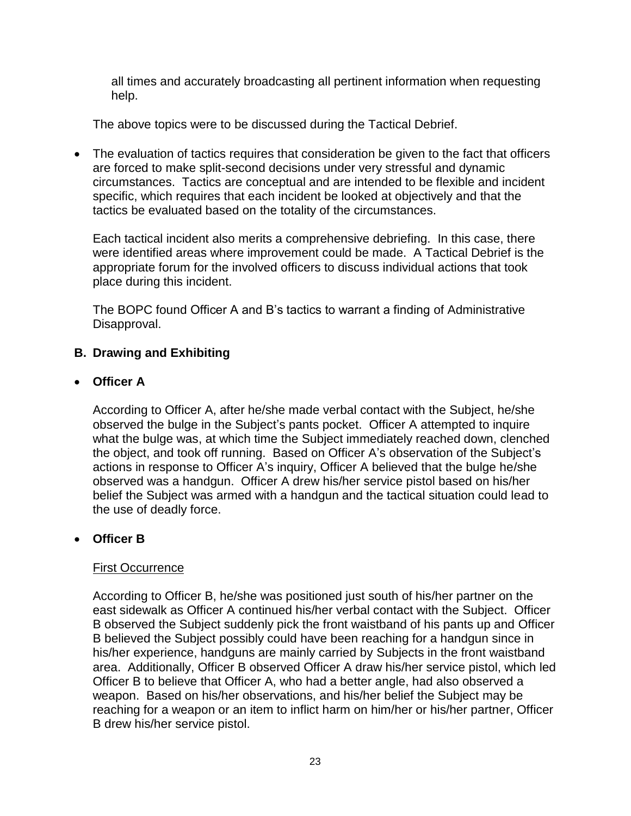all times and accurately broadcasting all pertinent information when requesting help.

The above topics were to be discussed during the Tactical Debrief.

• The evaluation of tactics requires that consideration be given to the fact that officers are forced to make split-second decisions under very stressful and dynamic circumstances. Tactics are conceptual and are intended to be flexible and incident specific, which requires that each incident be looked at objectively and that the tactics be evaluated based on the totality of the circumstances.

Each tactical incident also merits a comprehensive debriefing. In this case, there were identified areas where improvement could be made. A Tactical Debrief is the appropriate forum for the involved officers to discuss individual actions that took place during this incident.

The BOPC found Officer A and B's tactics to warrant a finding of Administrative Disapproval.

# **B. Drawing and Exhibiting**

## • **Officer A**

According to Officer A, after he/she made verbal contact with the Subject, he/she observed the bulge in the Subject's pants pocket. Officer A attempted to inquire what the bulge was, at which time the Subject immediately reached down, clenched the object, and took off running. Based on Officer A's observation of the Subject's actions in response to Officer A's inquiry, Officer A believed that the bulge he/she observed was a handgun. Officer A drew his/her service pistol based on his/her belief the Subject was armed with a handgun and the tactical situation could lead to the use of deadly force.

## • **Officer B**

#### First Occurrence

According to Officer B, he/she was positioned just south of his/her partner on the east sidewalk as Officer A continued his/her verbal contact with the Subject. Officer B observed the Subject suddenly pick the front waistband of his pants up and Officer B believed the Subject possibly could have been reaching for a handgun since in his/her experience, handguns are mainly carried by Subjects in the front waistband area. Additionally, Officer B observed Officer A draw his/her service pistol, which led Officer B to believe that Officer A, who had a better angle, had also observed a weapon. Based on his/her observations, and his/her belief the Subject may be reaching for a weapon or an item to inflict harm on him/her or his/her partner, Officer B drew his/her service pistol.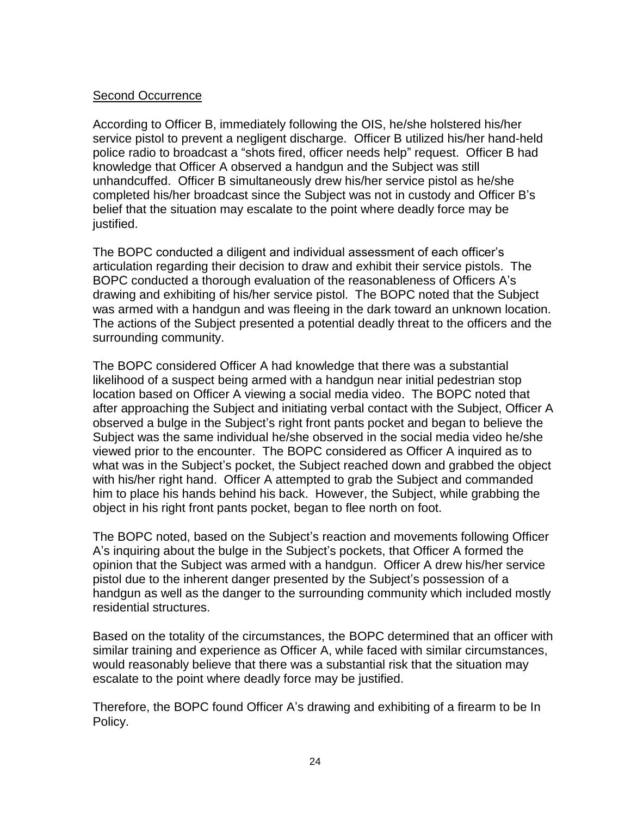### Second Occurrence

According to Officer B, immediately following the OIS, he/she holstered his/her service pistol to prevent a negligent discharge. Officer B utilized his/her hand-held police radio to broadcast a "shots fired, officer needs help" request. Officer B had knowledge that Officer A observed a handgun and the Subject was still unhandcuffed. Officer B simultaneously drew his/her service pistol as he/she completed his/her broadcast since the Subject was not in custody and Officer B's belief that the situation may escalate to the point where deadly force may be justified.

The BOPC conducted a diligent and individual assessment of each officer's articulation regarding their decision to draw and exhibit their service pistols. The BOPC conducted a thorough evaluation of the reasonableness of Officers A's drawing and exhibiting of his/her service pistol. The BOPC noted that the Subject was armed with a handgun and was fleeing in the dark toward an unknown location. The actions of the Subject presented a potential deadly threat to the officers and the surrounding community.

The BOPC considered Officer A had knowledge that there was a substantial likelihood of a suspect being armed with a handgun near initial pedestrian stop location based on Officer A viewing a social media video. The BOPC noted that after approaching the Subject and initiating verbal contact with the Subject, Officer A observed a bulge in the Subject's right front pants pocket and began to believe the Subject was the same individual he/she observed in the social media video he/she viewed prior to the encounter. The BOPC considered as Officer A inquired as to what was in the Subject's pocket, the Subject reached down and grabbed the object with his/her right hand. Officer A attempted to grab the Subject and commanded him to place his hands behind his back. However, the Subject, while grabbing the object in his right front pants pocket, began to flee north on foot.

The BOPC noted, based on the Subject's reaction and movements following Officer A's inquiring about the bulge in the Subject's pockets, that Officer A formed the opinion that the Subject was armed with a handgun. Officer A drew his/her service pistol due to the inherent danger presented by the Subject's possession of a handgun as well as the danger to the surrounding community which included mostly residential structures.

Based on the totality of the circumstances, the BOPC determined that an officer with similar training and experience as Officer A, while faced with similar circumstances, would reasonably believe that there was a substantial risk that the situation may escalate to the point where deadly force may be justified.

Therefore, the BOPC found Officer A's drawing and exhibiting of a firearm to be In Policy.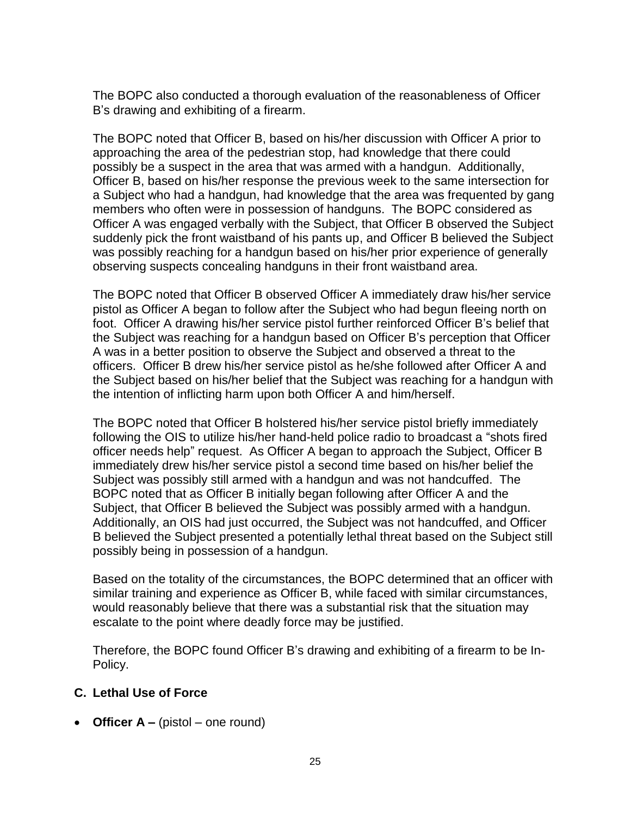The BOPC also conducted a thorough evaluation of the reasonableness of Officer B's drawing and exhibiting of a firearm.

The BOPC noted that Officer B, based on his/her discussion with Officer A prior to approaching the area of the pedestrian stop, had knowledge that there could possibly be a suspect in the area that was armed with a handgun. Additionally, Officer B, based on his/her response the previous week to the same intersection for a Subject who had a handgun, had knowledge that the area was frequented by gang members who often were in possession of handguns. The BOPC considered as Officer A was engaged verbally with the Subject, that Officer B observed the Subject suddenly pick the front waistband of his pants up, and Officer B believed the Subject was possibly reaching for a handgun based on his/her prior experience of generally observing suspects concealing handguns in their front waistband area.

The BOPC noted that Officer B observed Officer A immediately draw his/her service pistol as Officer A began to follow after the Subject who had begun fleeing north on foot. Officer A drawing his/her service pistol further reinforced Officer B's belief that the Subject was reaching for a handgun based on Officer B's perception that Officer A was in a better position to observe the Subject and observed a threat to the officers. Officer B drew his/her service pistol as he/she followed after Officer A and the Subject based on his/her belief that the Subject was reaching for a handgun with the intention of inflicting harm upon both Officer A and him/herself.

The BOPC noted that Officer B holstered his/her service pistol briefly immediately following the OIS to utilize his/her hand-held police radio to broadcast a "shots fired officer needs help" request. As Officer A began to approach the Subject, Officer B immediately drew his/her service pistol a second time based on his/her belief the Subject was possibly still armed with a handgun and was not handcuffed. The BOPC noted that as Officer B initially began following after Officer A and the Subject, that Officer B believed the Subject was possibly armed with a handgun. Additionally, an OIS had just occurred, the Subject was not handcuffed, and Officer B believed the Subject presented a potentially lethal threat based on the Subject still possibly being in possession of a handgun.

Based on the totality of the circumstances, the BOPC determined that an officer with similar training and experience as Officer B, while faced with similar circumstances, would reasonably believe that there was a substantial risk that the situation may escalate to the point where deadly force may be justified.

Therefore, the BOPC found Officer B's drawing and exhibiting of a firearm to be In-Policy.

## **C. Lethal Use of Force**

• **Officer A –** (pistol – one round)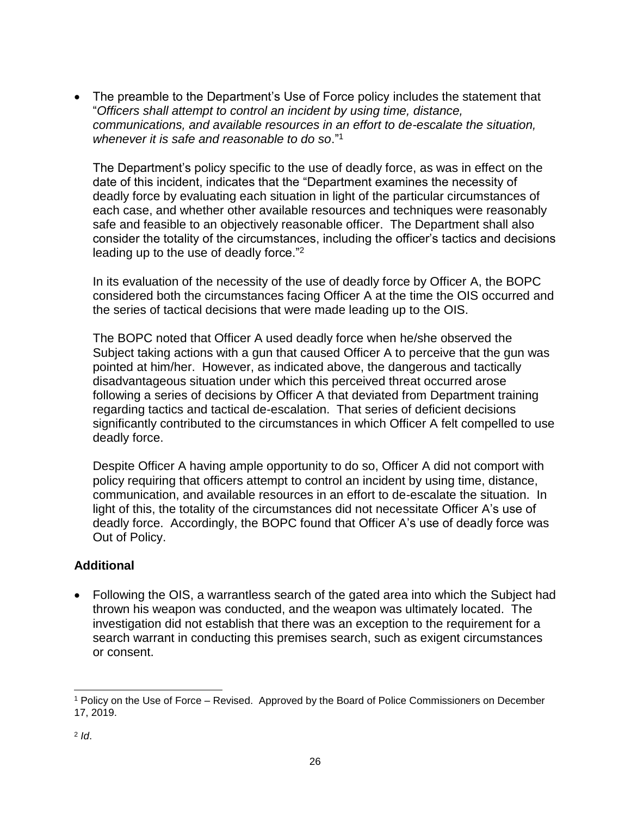The preamble to the Department's Use of Force policy includes the statement that "*Officers shall attempt to control an incident by using time, distance, communications, and available resources in an effort to de-escalate the situation, whenever it is safe and reasonable to do so*."<sup>1</sup>

The Department's policy specific to the use of deadly force, as was in effect on the date of this incident, indicates that the "Department examines the necessity of deadly force by evaluating each situation in light of the particular circumstances of each case, and whether other available resources and techniques were reasonably safe and feasible to an objectively reasonable officer. The Department shall also consider the totality of the circumstances, including the officer's tactics and decisions leading up to the use of deadly force."<sup>2</sup>

In its evaluation of the necessity of the use of deadly force by Officer A, the BOPC considered both the circumstances facing Officer A at the time the OIS occurred and the series of tactical decisions that were made leading up to the OIS.

The BOPC noted that Officer A used deadly force when he/she observed the Subject taking actions with a gun that caused Officer A to perceive that the gun was pointed at him/her. However, as indicated above, the dangerous and tactically disadvantageous situation under which this perceived threat occurred arose following a series of decisions by Officer A that deviated from Department training regarding tactics and tactical de-escalation. That series of deficient decisions significantly contributed to the circumstances in which Officer A felt compelled to use deadly force.

Despite Officer A having ample opportunity to do so, Officer A did not comport with policy requiring that officers attempt to control an incident by using time, distance, communication, and available resources in an effort to de-escalate the situation. In light of this, the totality of the circumstances did not necessitate Officer A's use of deadly force. Accordingly, the BOPC found that Officer A's use of deadly force was Out of Policy.

## **Additional**

• Following the OIS, a warrantless search of the gated area into which the Subject had thrown his weapon was conducted, and the weapon was ultimately located. The investigation did not establish that there was an exception to the requirement for a search warrant in conducting this premises search, such as exigent circumstances or consent.

l <sup>1</sup> Policy on the Use of Force – Revised. Approved by the Board of Police Commissioners on December 17, 2019.